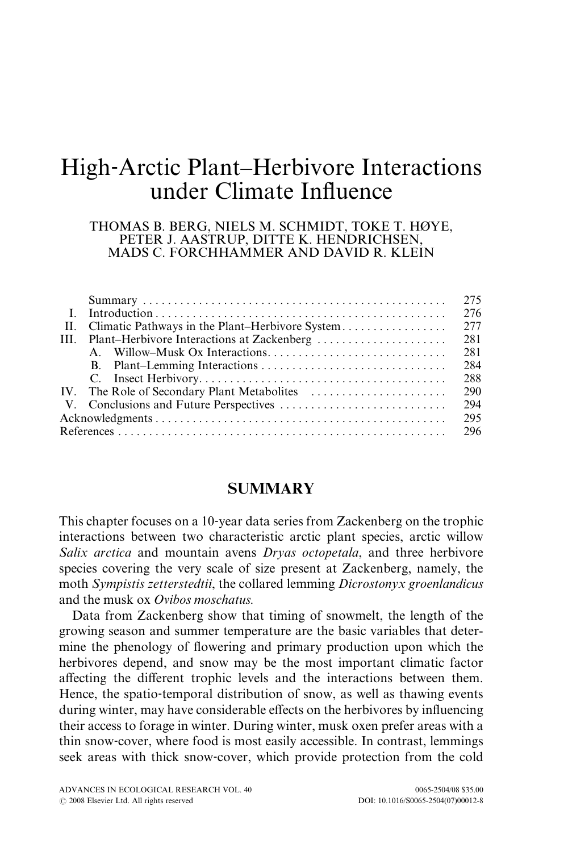# High‐Arctic Plant–Herbivore Interactions under Climate Influence

#### THOMAS B. BERG, NIELS M. SCHMIDT, TOKE T. HØYE, PETER J. AASTRUP, DITTE K. HENDRICHSEN, MADS C. FORCHHAMMER AND DAVID R. KLEIN

|     |                                                     | 275 |
|-----|-----------------------------------------------------|-----|
|     |                                                     | 276 |
|     | II. Climatic Pathways in the Plant–Herbivore System | 277 |
|     | III. Plant–Herbivore Interactions at Zackenberg     | 281 |
|     |                                                     | 281 |
|     |                                                     | 284 |
|     |                                                     | 288 |
|     |                                                     | 290 |
|     |                                                     | 294 |
|     |                                                     | 295 |
| 296 |                                                     |     |

## **SUMMARY**

This chapter focuses on a 10‐year data series from Zackenberg on the trophic interactions between two characteristic arctic plant species, arctic willow Salix arctica and mountain avens *Dryas octopetala*, and three herbivore species covering the very scale of size present at Zackenberg, namely, the moth Sympistis zetterstedtii, the collared lemming Dicrostonyx groenlandicus and the musk ox Ovibos moschatus.

Data from Zackenberg show that timing of snowmelt, the length of the growing season and summer temperature are the basic variables that determine the phenology of flowering and primary production upon which the herbivores depend, and snow may be the most important climatic factor affecting the different trophic levels and the interactions between them. Hence, the spatio‐temporal distribution of snow, as well as thawing events during winter, may have considerable effects on the herbivores by influencing their access to forage in winter. During winter, musk oxen prefer areas with a thin snow‐cover, where food is most easily accessible. In contrast, lemmings seek areas with thick snow‐cover, which provide protection from the cold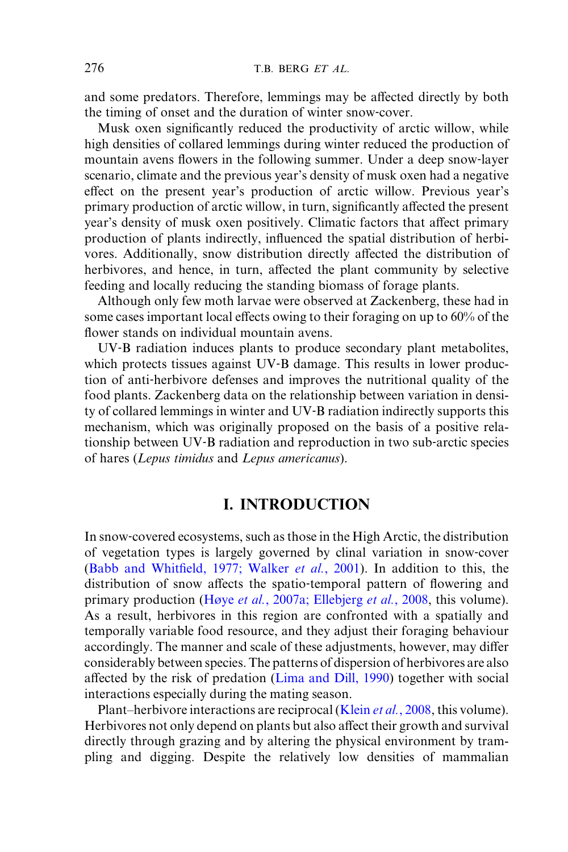and some predators. Therefore, lemmings may be affected directly by both the timing of onset and the duration of winter snow‐cover.

Musk oxen significantly reduced the productivity of arctic willow, while high densities of collared lemmings during winter reduced the production of mountain avens flowers in the following summer. Under a deep snow‐layer scenario, climate and the previous year's density of musk oxen had a negative effect on the present year's production of arctic willow. Previous year's primary production of arctic willow, in turn, significantly affected the present year's density of musk oxen positively. Climatic factors that affect primary production of plants indirectly, influenced the spatial distribution of herbivores. Additionally, snow distribution directly affected the distribution of herbivores, and hence, in turn, affected the plant community by selective feeding and locally reducing the standing biomass of forage plants.

Although only few moth larvae were observed at Zackenberg, these had in some cases important local effects owing to their foraging on up to  $60\%$  of the flower stands on individual mountain avens.

UV‐B radiation induces plants to produce secondary plant metabolites, which protects tissues against UV-B damage. This results in lower production of anti‐herbivore defenses and improves the nutritional quality of the food plants. Zackenberg data on the relationship between variation in density of collared lemmings in winter and UV‐B radiation indirectly supports this mechanism, which was originally proposed on the basis of a positive relationship between UV‐B radiation and reproduction in two sub‐arctic species of hares (Lepus timidus and Lepus americanus).

# I. INTRODUCTION

In snow-covered ecosystems, such as those in the High Arctic, the distribution of vegetation types is largely governed by clinal variation in snow‐cover (Babb and Whitfield, 1977; Walker et al., 2001). In addition to this, the distribution of snow affects the spatio-temporal pattern of flowering and primary production (Høye et al., 2007a; [Ellebjerg](#page-22-0) et al., 2008, this volume). As a result, herbivores in this region are confronted with a spatially and temporally variable food resource, and they adjust their foraging behaviour accordingly. The manner and scale of these adjustments, however, may differ considerably between species. The patterns of dispersion of herbivores are also affected by the risk of predation [\(Lima and Dill, 1990](#page-22-0)) together with social interactions especially during the mating season.

Plant–herbivore interactions are reciprocal [\(Klein](#page-22-0) *et al.*, 2008, this volume). Herbivores not only depend on plants but also affect their growth and survival directly through grazing and by altering the physical environment by trampling and digging. Despite the relatively low densities of mammalian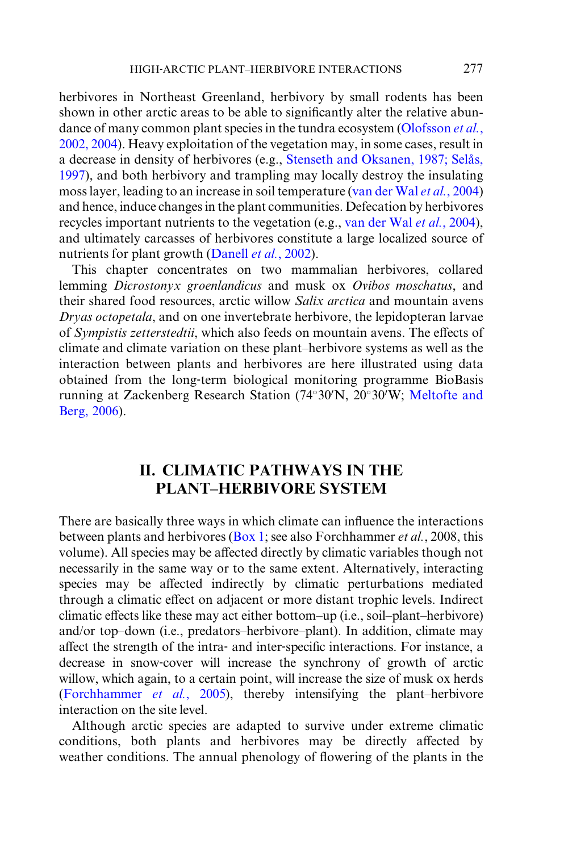herbivores in Northeast Greenland, herbivory by small rodents has been shown in other arctic areas to be able to significantly alter the relative abun-dance of many common plant species in the tundra ecosystem [\(Olofsson](#page-22-0) et al., [2002, 2004](#page-22-0)). Heavy exploitation of the vegetation may, in some cases, result in a decrease in density of herbivores (e.g., Stenseth and Oksanen, 1987; Selås, [1997\)](#page-23-0), and both herbivory and trampling may locally destroy the insulating moss layer, leading to an increase in soil temperature ([van der Wal](#page-23-0) et al., 2004) and hence, induce changes in the plant communities. Defecation by herbivores recycles important nutrients to the vegetation (e.g., [van der Wal](#page-23-0) et al., 2004), and ultimately carcasses of herbivores constitute a large localized source of nutrients for plant growth [\(Danell](#page-21-0) *et al.*, 2002).

This chapter concentrates on two mammalian herbivores, collared lemming Dicrostonyx groenlandicus and musk ox Ovibos moschatus, and their shared food resources, arctic willow Salix arctica and mountain avens Dryas octopetala, and on one invertebrate herbivore, the lepidopteran larvae of Sympistis zetterstedtii, which also feeds on mountain avens. The effects of climate and climate variation on these plant–herbivore systems as well as the interaction between plants and herbivores are here illustrated using data obtained from the long‐term biological monitoring programme BioBasis running at Zackenberg Research Station (74°30'N, 20°30'W; [Meltofte and](#page-22-0) [Berg, 2006](#page-22-0)).

# II. CLIMATIC PATHWAYS IN THE PLANT–HERBIVORE SYSTEM

There are basically three ways in which climate can influence the interactions between plants and herbivores ([Box 1](#page-3-0); see also Forchhammer *et al.*, 2008, this volume). All species may be affected directly by climatic variables though not necessarily in the same way or to the same extent. Alternatively, interacting species may be affected indirectly by climatic perturbations mediated through a climatic effect on adjacent or more distant trophic levels. Indirect climatic effects like these may act either bottom–up (i.e., soil–plant–herbivore) and/or top–down (i.e., predators–herbivore–plant). In addition, climate may affect the strength of the intra- and inter-specific interactions. For instance, a decrease in snow‐cover will increase the synchrony of growth of arctic willow, which again, to a certain point, will increase the size of musk ox herds [\(Forchhammer](#page-22-0) et al., 2005), thereby intensifying the plant–herbivore interaction on the site level.

Although arctic species are adapted to survive under extreme climatic conditions, both plants and herbivores may be directly affected by weather conditions. The annual phenology of flowering of the plants in the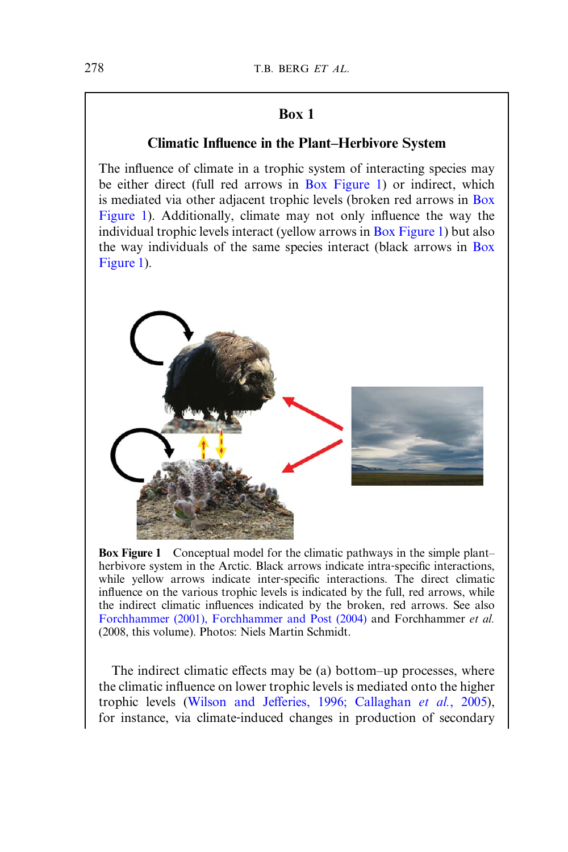# Box 1

# Climatic Influence in the Plant–Herbivore System

<span id="page-3-0"></span>The influence of climate in a trophic system of interacting species may be either direct (full red arrows in Box Figure 1) or indirect, which is mediated via other adjacent trophic levels (broken red arrows in Box Figure 1). Additionally, climate may not only influence the way the individual trophic levels interact (yellow arrows in Box Figure 1) but also the way individuals of the same species interact (black arrows in Box Figure 1).



Box Figure 1 Conceptual model for the climatic pathways in the simple plant– herbivore system in the Arctic. Black arrows indicate intra-specific interactions, while yellow arrows indicate inter-specific interactions. The direct climatic influence on the various trophic levels is indicated by the full, red arrows, while the indirect climatic influences indicated by the broken, red arrows. See also [Forchhammer \(2001\), Forchhammer and Post \(2004\)](#page-21-0) and Forchhammer et al. (2008, this volume). Photos: Niels Martin Schmidt.

The indirect climatic effects may be (a) bottom–up processes, where the climatic influence on lower trophic levels is mediated onto the higher trophic levels (Wilson and Jeff[eries, 1996; Callaghan](#page-23-0) et al., 2005), for instance, via climate‐induced changes in production of secondary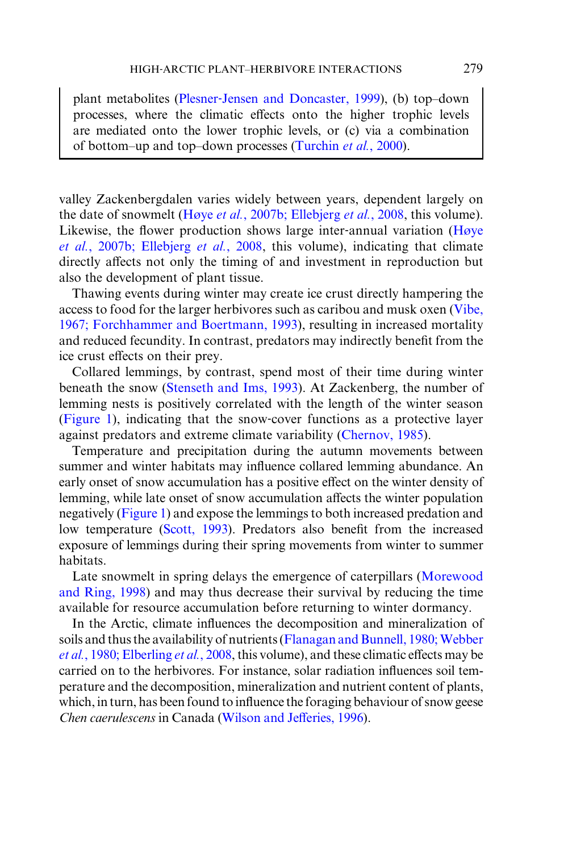plant metabolites (Plesner‐[Jensen and Doncaster, 1999](#page-22-0)), (b) top–down processes, where the climatic effects onto the higher trophic levels are mediated onto the lower trophic levels, or (c) via a combination of bottom–up and top–down processes ([Turchin](#page-23-0) et al., 2000).

valley Zackenbergdalen varies widely between years, dependent largely on the date of snowmelt (Høye et al., 2007b; [Ellebjerg](#page-22-0) et al., 2008, this volume). Likewise, the flower production shows large inter-annual variation ([Høye](#page-22-0) et al., 2007b; [Ellebjerg](#page-22-0) et al., 2008, this volume), indicating that climate directly affects not only the timing of and investment in reproduction but also the development of plant tissue.

Thawing events during winter may create ice crust directly hampering the access to food for the larger herbivores such as caribou and musk oxen [\(Vibe,](#page-23-0) [1967; Forchhammer and Boertmann, 1993](#page-23-0)), resulting in increased mortality and reduced fecundity. In contrast, predators may indirectly benefit from the ice crust effects on their prey.

Collared lemmings, by contrast, spend most of their time during winter beneath the snow ([Stenseth and Ims, 1993\)](#page-23-0). At Zackenberg, the number of lemming nests is positively correlated with the length of the winter season [\(Figure 1](#page-5-0)), indicating that the snow‐cover functions as a protective layer against predators and extreme climate variability (Chernov, 1985).

Temperature and precipitation during the autumn movements between summer and winter habitats may influence collared lemming abundance. An early onset of snow accumulation has a positive effect on the winter density of lemming, while late onset of snow accumulation affects the winter population negatively [\(Figure 1](#page-5-0)) and expose the lemmings to both increased predation and low temperature [\(Scott, 1993](#page-22-0)). Predators also benefit from the increased exposure of lemmings during their spring movements from winter to summer habitats.

Late snowmelt in spring delays the emergence of caterpillars [\(Morewood](#page-22-0) [and Ring, 1998\)](#page-22-0) and may thus decrease their survival by reducing the time available for resource accumulation before returning to winter dormancy.

In the Arctic, climate influences the decomposition and mineralization of soils and thus the availability of nutrients (Flanagan and Bunnell, 1980; Webber et al.[, 1980; Elberling](#page-21-0) et al., 2008, this volume), and these climatic effects may be carried on to the herbivores. For instance, solar radiation influences soil temperature and the decomposition, mineralization and nutrient content of plants, which, in turn, has been found to influence the foraging behaviour of snow geese Chen caerulescens in Canada ([Wilson and Je](#page-23-0)fferies, 1996).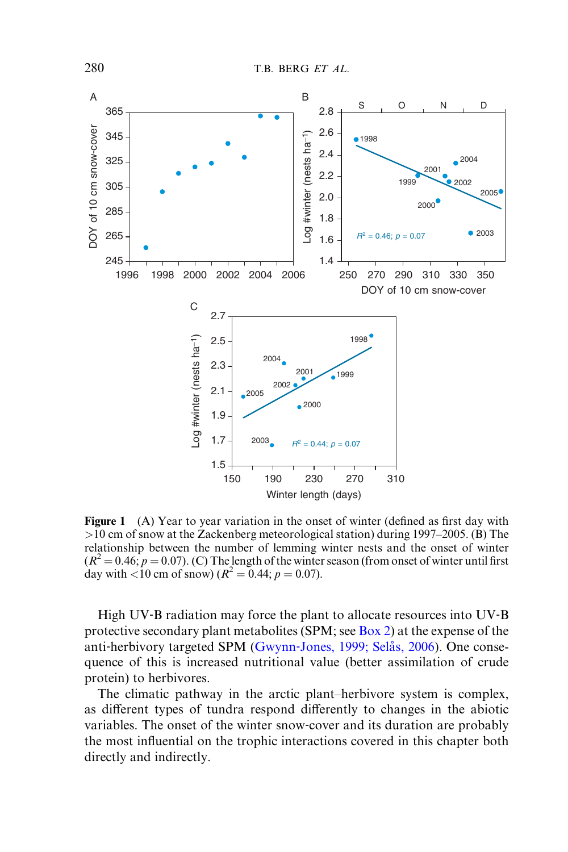<span id="page-5-0"></span>

Figure 1 (A) Year to year variation in the onset of winter (defined as first day with  $>10$  cm of snow at the Zackenberg meteorological station) during 1997–2005. (B) The relationship between the number of lemming winter nests and the onset of winter  $(R^2 = 0.46; p = 0.07)$ . (C) The length of the winter season (from onset of winter until first day with <10 cm of snow) ( $R^2 = 0.44$ ;  $p = 0.07$ ).

High UV-B radiation may force the plant to allocate resources into UV-B protective secondary plant metabolites (SPM; see [Box 2\)](#page-16-0) at the expense of the anti-herbivory targeted SPM (Gwynn-Jones, 1999; Selås, 2006). One consequence of this is increased nutritional value (better assimilation of crude protein) to herbivores.

The climatic pathway in the arctic plant–herbivore system is complex, as different types of tundra respond differently to changes in the abiotic variables. The onset of the winter snow‐cover and its duration are probably the most influential on the trophic interactions covered in this chapter both directly and indirectly.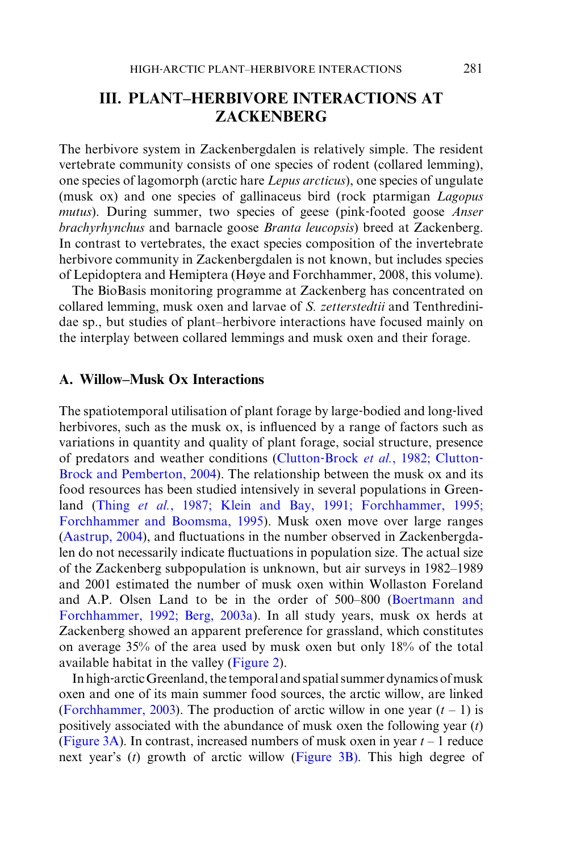# III. PLANT–HERBIVORE INTERACTIONS AT ZACKENBERG

The herbivore system in Zackenbergdalen is relatively simple. The resident vertebrate community consists of one species of rodent (collared lemming), one species of lagomorph (arctic hare Lepus arcticus), one species of ungulate (musk ox) and one species of gallinaceus bird (rock ptarmigan Lagopus mutus). During summer, two species of geese (pink-footed goose Anser brachyrhynchus and barnacle goose Branta leucopsis) breed at Zackenberg. In contrast to vertebrates, the exact species composition of the invertebrate herbivore community in Zackenbergdalen is not known, but includes species of Lepidoptera and Hemiptera (Høye and Forchhammer, 2008, this volume).

The BioBasis monitoring programme at Zackenberg has concentrated on collared lemming, musk oxen and larvae of S. zetterstedtii and Tenthredinidae sp., but studies of plant–herbivore interactions have focused mainly on the interplay between collared lemmings and musk oxen and their forage.

#### A. Willow–Musk Ox Interactions

The spatiotemporal utilisation of plant forage by large-bodied and long-lived herbivores, such as the musk ox, is influenced by a range of factors such as variations in quantity and quality of plant forage, social structure, presence of predators and weather conditions (Clutton-Brock et al., 1982; Clutton-Brock and Pemberton, 2004). The relationship between the musk ox and its food resources has been studied intensively in several populations in Green-land (Thing et al.[, 1987; Klein and Bay, 1991; Forchhammer, 1995;](#page-23-0) [Forchhammer and Boomsma, 1995](#page-23-0)). Musk oxen move over large ranges (Aastrup, 2004), and fluctuations in the number observed in Zackenbergdalen do not necessarily indicate fluctuations in population size. The actual size of the Zackenberg subpopulation is unknown, but air surveys in 1982–1989 and 2001 estimated the number of musk oxen within Wollaston Foreland and A.P. Olsen Land to be in the order of 500–800 (Boertmann and Forchhammer, 1992; Berg, 2003a). In all study years, musk ox herds at Zackenberg showed an apparent preference for grassland, which constitutes on average 35% of the area used by musk oxen but only 18% of the total available habitat in the valley ([Figure 2](#page-7-0)).

In high-arctic Greenland, the temporal and spatial summer dynamics of musk oxen and one of its main summer food sources, the arctic willow, are linked [\(Forchhammer, 2003\)](#page-21-0). The production of arctic willow in one year  $(t - 1)$  is positively associated with the abundance of musk oxen the following year  $(t)$ [\(Figure 3A\)](#page-7-0). In contrast, increased numbers of musk oxen in year  $t - 1$  reduce next year's  $(t)$  growth of arctic willow ([Figure 3B\)](#page-7-0). This high degree of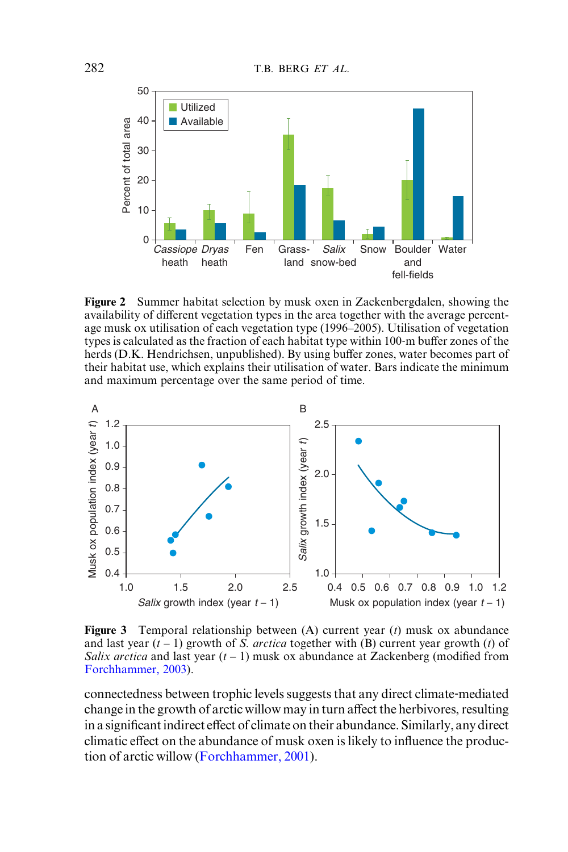<span id="page-7-0"></span>

Figure 2 Summer habitat selection by musk oxen in Zackenbergdalen, showing the availability of different vegetation types in the area together with the average percentage musk ox utilisation of each vegetation type (1996–2005). Utilisation of vegetation types is calculated as the fraction of each habitat type within 100-m buffer zones of the herds (D.K. Hendrichsen, unpublished). By using buffer zones, water becomes part of their habitat use, which explains their utilisation of water. Bars indicate the minimum and maximum percentage over the same period of time.



**Figure 3** Temporal relationship between  $(A)$  current year  $(t)$  musk ox abundance and last year  $(t-1)$  growth of S. *arctica* together with (B) current year growth (t) of Salix arctica and last year  $(t-1)$  musk ox abundance at Zackenberg (modified from [Forchhammer, 2003\)](#page-21-0).

connectedness between trophic levels suggests that any direct climate‐mediated change in the growth of arctic willow may in turn affect the herbivores, resulting in a significant indirect effect of climate on their abundance. Similarly, any direct climatic effect on the abundance of musk oxen is likely to influence the production of arctic willow ([Forchhammer, 2001\)](#page-21-0).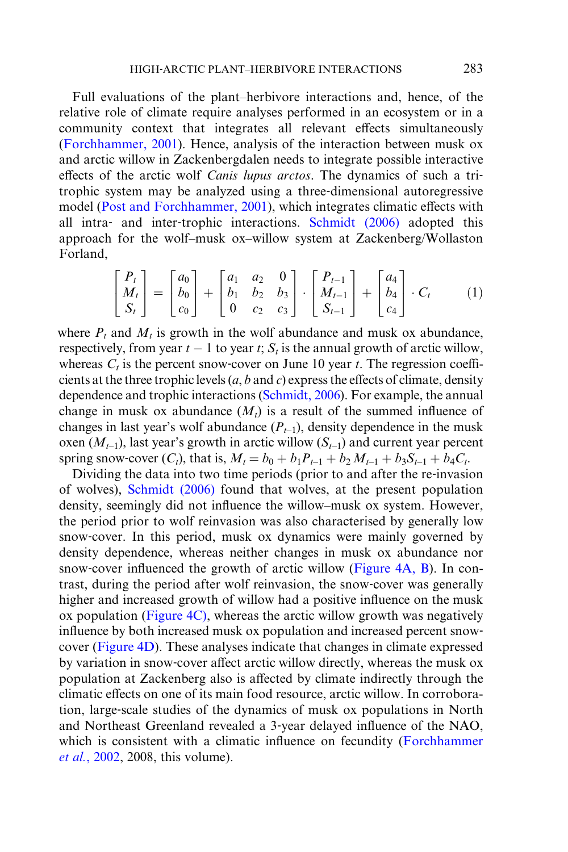Full evaluations of the plant–herbivore interactions and, hence, of the relative role of climate require analyses performed in an ecosystem or in a community context that integrates all relevant effects simultaneously [\(Forchhammer, 2001](#page-21-0)). Hence, analysis of the interaction between musk ox and arctic willow in Zackenbergdalen needs to integrate possible interactive effects of the arctic wolf Canis lupus arctos. The dynamics of such a tritrophic system may be analyzed using a three‐dimensional autoregressive model [\(Post and Forchhammer, 2001](#page-22-0)), which integrates climatic effects with all intra‐ and inter‐trophic interactions. [Schmidt \(2006\)](#page-22-0) adopted this approach for the wolf–musk ox–willow system at Zackenberg/Wollaston Forland,

$$
\begin{bmatrix} P_t \\ M_t \\ S_t \end{bmatrix} = \begin{bmatrix} a_0 \\ b_0 \\ c_0 \end{bmatrix} + \begin{bmatrix} a_1 & a_2 & 0 \\ b_1 & b_2 & b_3 \\ 0 & c_2 & c_3 \end{bmatrix} \cdot \begin{bmatrix} P_{t-1} \\ M_{t-1} \\ S_{t-1} \end{bmatrix} + \begin{bmatrix} a_4 \\ b_4 \\ c_4 \end{bmatrix} \cdot C_t \tag{1}
$$

where  $P_t$  and  $M_t$  is growth in the wolf abundance and musk ox abundance, respectively, from year  $t - 1$  to year t;  $S_t$  is the annual growth of arctic willow, whereas  $C_t$  is the percent snow-cover on June 10 year t. The regression coefficients at the three trophic levels  $(a, b \text{ and } c)$  express the effects of climate, density dependence and trophic interactions ([Schmidt, 2006\)](#page-22-0). For example, the annual change in musk ox abundance  $(M_t)$  is a result of the summed influence of changes in last year's wolf abundance  $(P_{t-1})$ , density dependence in the musk oxen  $(M_{t-1})$ , last year's growth in arctic willow  $(S_{t-1})$  and current year percent spring snow-cover  $(C_t)$ , that is,  $M_t = b_0 + b_1 P_{t-1} + b_2 M_{t-1} + b_3 S_{t-1} + b_4 C_t$ .

Dividing the data into two time periods (prior to and after the re-invasion of wolves), [Schmidt \(2006\)](#page-22-0) found that wolves, at the present population density, seemingly did not influence the willow–musk ox system. However, the period prior to wolf reinvasion was also characterised by generally low snow‐cover. In this period, musk ox dynamics were mainly governed by density dependence, whereas neither changes in musk ox abundance nor snow-cover influenced the growth of arctic willow ([Figure 4A, B\)](#page-9-0). In contrast, during the period after wolf reinvasion, the snow‐cover was generally higher and increased growth of willow had a positive influence on the musk ox population [\(Figure 4C\)](#page-9-0), whereas the arctic willow growth was negatively influence by both increased musk ox population and increased percent snow‐ cover ([Figure 4D\)](#page-9-0). These analyses indicate that changes in climate expressed by variation in snow-cover affect arctic willow directly, whereas the musk ox population at Zackenberg also is affected by climate indirectly through the climatic effects on one of its main food resource, arctic willow. In corroboration, large‐scale studies of the dynamics of musk ox populations in North and Northeast Greenland revealed a 3‐year delayed influence of the NAO, which is consistent with a climatic influence on fecundity ([Forchhammer](#page-22-0) et al.[, 2002](#page-22-0), 2008, this volume).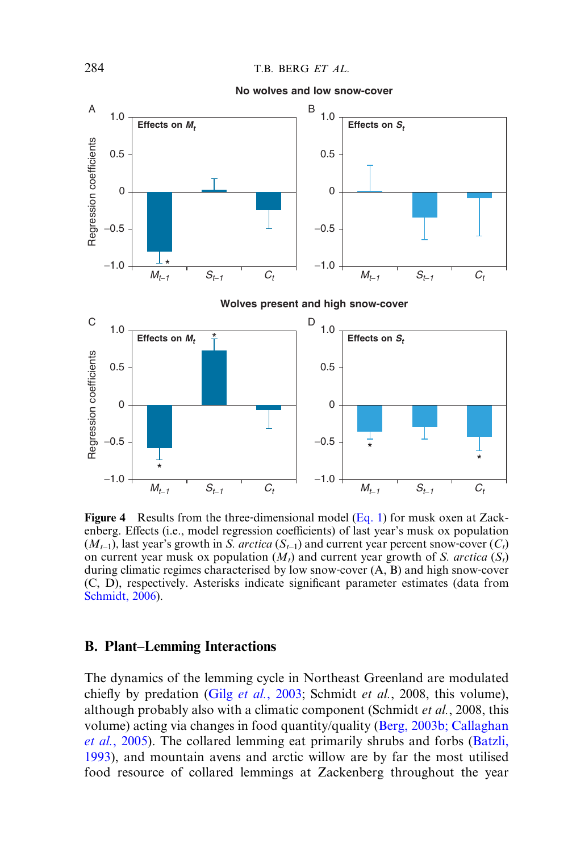<span id="page-9-0"></span>

Figure 4 Results from the three-dimensional model (Eq. 1) for musk oxen at Zackenberg. Effects (i.e., model regression coefficients) of last year's musk ox population  $(M<sub>t-1</sub>)$ , last year's growth in S. arctica  $(S<sub>t-1</sub>)$  and current year percent snow-cover  $(C<sub>t</sub>)$ on current year musk ox population  $(M_t)$  and current year growth of S. arctica  $(S_t)$ during climatic regimes characterised by low snow‐cover (A, B) and high snow‐cover (C, D), respectively. Asterisks indicate significant parameter estimates (data from [Schmidt, 2006\)](#page-22-0).

#### B. Plant–Lemming Interactions

The dynamics of the lemming cycle in Northeast Greenland are modulated chiefly by predation (Gilg et al.[, 2003;](#page-22-0) Schmidt et al., 2008, this volume), although probably also with a climatic component (Schmidt et al., 2008, this volume) acting via changes in food quantity/quality (Berg, 2003b; Callaghan et al., 2005). The collared lemming eat primarily shrubs and forbs (Batzli, 1993), and mountain avens and arctic willow are by far the most utilised food resource of collared lemmings at Zackenberg throughout the year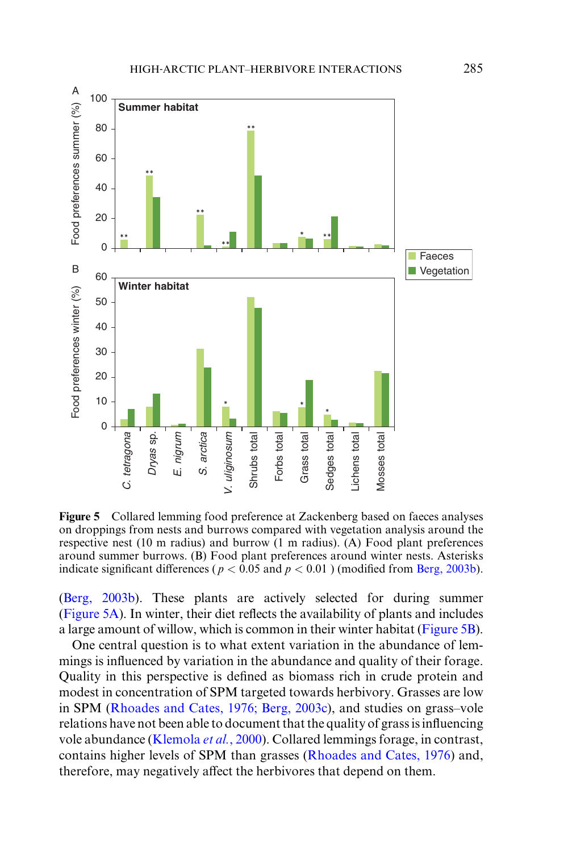

Figure 5 Collared lemming food preference at Zackenberg based on faeces analyses on droppings from nests and burrows compared with vegetation analysis around the respective nest (10 m radius) and burrow (1 m radius). (A) Food plant preferences around summer burrows. (B) Food plant preferences around winter nests. Asterisks indicate significant differences ( $p < 0.05$  and  $p < 0.01$ ) (modified from Berg, 2003b).

(Berg, 2003b). These plants are actively selected for during summer (Figure 5A). In winter, their diet reflects the availability of plants and includes a large amount of willow, which is common in their winter habitat (Figure 5B).

One central question is to what extent variation in the abundance of lemmings is influenced by variation in the abundance and quality of their forage. Quality in this perspective is defined as biomass rich in crude protein and modest in concentration of SPM targeted towards herbivory. Grasses are low in SPM ([Rhoades and Cates, 1976; Berg, 2003c\)](#page-22-0), and studies on grass–vole relations have not been able to document that the quality of grass is influencing vole abundance ([Klemola](#page-22-0) et al., 2000). Collared lemmings forage, in contrast, contains higher levels of SPM than grasses ([Rhoades and Cates, 1976\)](#page-22-0) and, therefore, may negatively affect the herbivores that depend on them.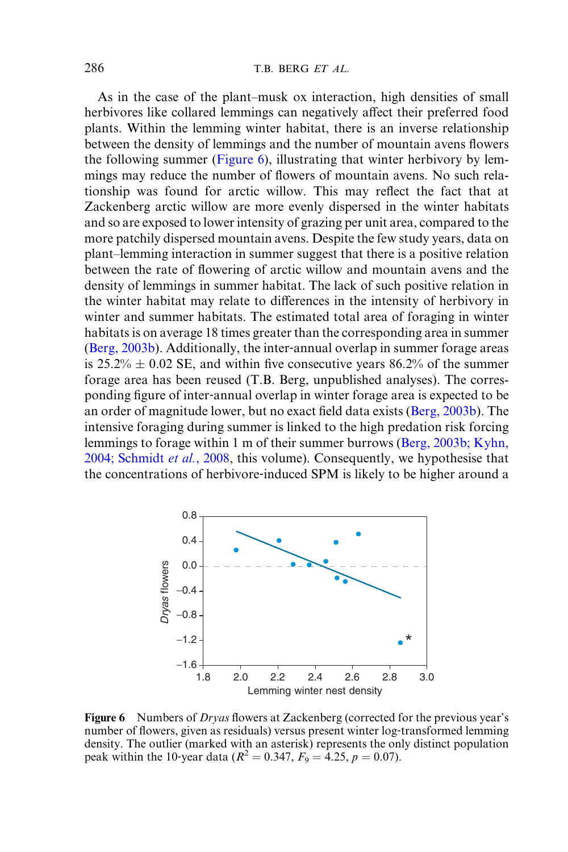As in the case of the plant–musk ox interaction, high densities of small herbivores like collared lemmings can negatively affect their preferred food plants. Within the lemming winter habitat, there is an inverse relationship between the density of lemmings and the number of mountain avens flowers the following summer (Figure 6), illustrating that winter herbivory by lemmings may reduce the number of flowers of mountain avens. No such relationship was found for arctic willow. This may reflect the fact that at Zackenberg arctic willow are more evenly dispersed in the winter habitats and so are exposed to lower intensity of grazing per unit area, compared to the more patchily dispersed mountain avens. Despite the few study years, data on plant–lemming interaction in summer suggest that there is a positive relation between the rate of flowering of arctic willow and mountain avens and the density of lemmings in summer habitat. The lack of such positive relation in the winter habitat may relate to differences in the intensity of herbivory in winter and summer habitats. The estimated total area of foraging in winter habitats is on average 18 times greater than the corresponding area in summer (Berg, 2003b). Additionally, the inter‐annual overlap in summer forage areas is  $25.2\% \pm 0.02$  SE, and within five consecutive years 86.2% of the summer forage area has been reused (T.B. Berg, unpublished analyses). The corresponding figure of inter‐annual overlap in winter forage area is expected to be an order of magnitude lower, but no exact field data exists (Berg, 2003b). The intensive foraging during summer is linked to the high predation risk forcing lemmings to forage within 1 m of their summer burrows (Berg, 2003b; Kyhn, 2004; Schmidt et al., 2008, this volume). Consequently, we hypothesise that the concentrations of herbivore‐induced SPM is likely to be higher around a



Figure 6 Numbers of Dryas flowers at Zackenberg (corrected for the previous year's number of flowers, given as residuals) versus present winter log-transformed lemming density. The outlier (marked with an asterisk) represents the only distinct population peak within the 10-year data ( $R^2 = 0.347$ ,  $F_9 = 4.25$ ,  $p = 0.07$ ).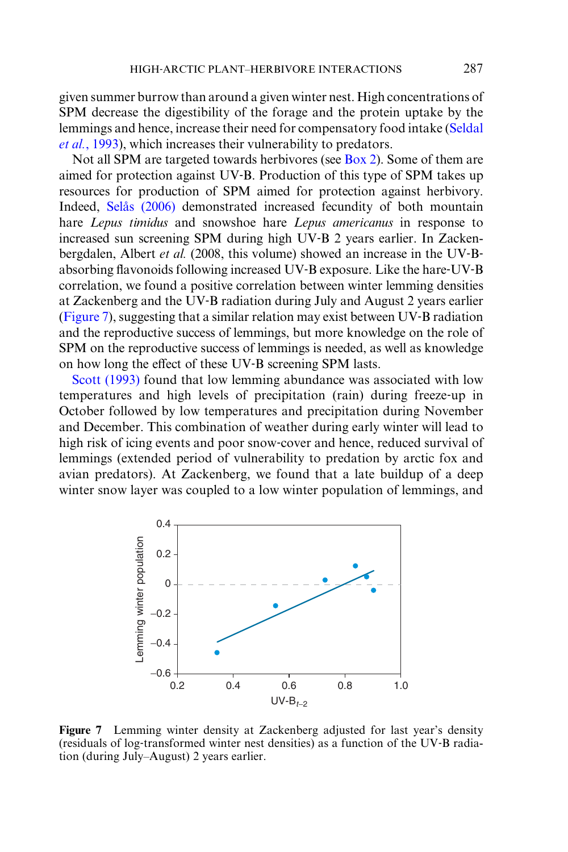given summer burrow than around a given winter nest. High concentrations of SPM decrease the digestibility of the forage and the protein uptake by the lemmings and hence, increase their need for compensatory food intake ([Seldal](#page-22-0) et al.[, 1993](#page-22-0)), which increases their vulnerability to predators.

Not all SPM are targeted towards herbivores (see [Box 2\)](#page-16-1). Some of them are aimed for protection against UV‐B. Production of this type of SPM takes up resources for production of SPM aimed for protection against herbivory. Indeed, Selås (2006) demonstrated increased fecundity of both mountain hare Lepus timidus and snowshoe hare Lepus americanus in response to increased sun screening SPM during high UV‐B 2 years earlier. In Zackenbergdalen, Albert *et al.* (2008, this volume) showed an increase in the UV-Babsorbing flavonoids following increased UV‐B exposure. Like the hare‐UV‐B correlation, we found a positive correlation between winter lemming densities at Zackenberg and the UV‐B radiation during July and August 2 years earlier (Figure 7), suggesting that a similar relation may exist between UV‐B radiation and the reproductive success of lemmings, but more knowledge on the role of SPM on the reproductive success of lemmings is needed, as well as knowledge on how long the effect of these UV-B screening SPM lasts.

[Scott \(1993\)](#page-22-0) found that low lemming abundance was associated with low temperatures and high levels of precipitation (rain) during freeze‐up in October followed by low temperatures and precipitation during November and December. This combination of weather during early winter will lead to high risk of icing events and poor snow‐cover and hence, reduced survival of lemmings (extended period of vulnerability to predation by arctic fox and avian predators). At Zackenberg, we found that a late buildup of a deep winter snow layer was coupled to a low winter population of lemmings, and



Figure 7 Lemming winter density at Zackenberg adjusted for last year's density (residuals of log‐transformed winter nest densities) as a function of the UV‐B radiation (during July–August) 2 years earlier.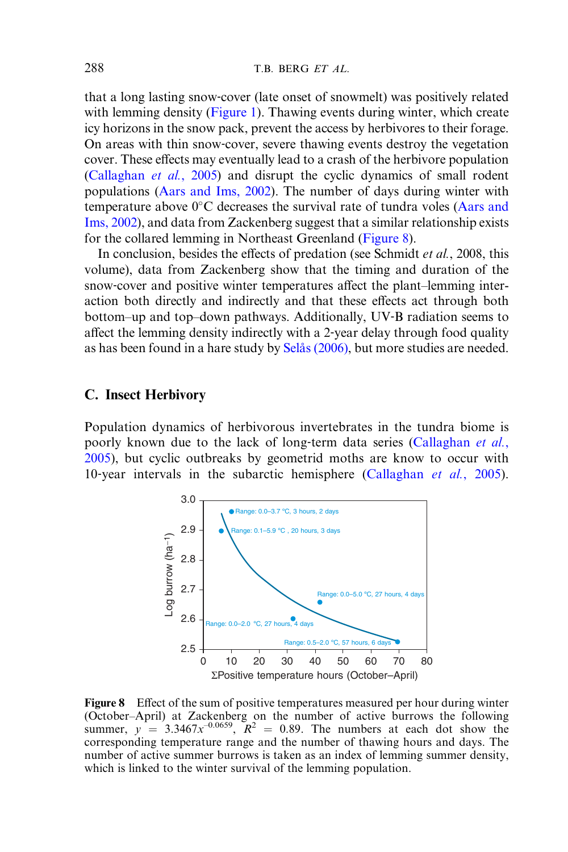that a long lasting snow‐cover (late onset of snowmelt) was positively related with lemming density [\(Figure 1](#page-5-0)). Thawing events during winter, which create icy horizons in the snow pack, prevent the access by herbivores to their forage. On areas with thin snow‐cover, severe thawing events destroy the vegetation cover. These effects may eventually lead to a crash of the herbivore population (Callaghan et al., 2005) and disrupt the cyclic dynamics of small rodent populations (Aars and Ims, 2002). The number of days during winter with temperature above  $0^{\circ}$ C decreases the survival rate of tundra voles (Aars and Ims, 2002), and data from Zackenberg suggest that a similar relationship exists for the collared lemming in Northeast Greenland (Figure 8).

In conclusion, besides the effects of predation (see Schmidt *et al.*, 2008, this volume), data from Zackenberg show that the timing and duration of the snow-cover and positive winter temperatures affect the plant–lemming interaction both directly and indirectly and that these effects act through both bottom–up and top–down pathways. Additionally, UV‐B radiation seems to affect the lemming density indirectly with a 2-year delay through food quality as has been found in a hare study by Selås (2006), but more studies are needed.

#### C. Insect Herbivory

Population dynamics of herbivorous invertebrates in the tundra biome is poorly known due to the lack of long-term data series (Callaghan et al., 2005), but cyclic outbreaks by geometrid moths are know to occur with 10-year intervals in the subarctic hemisphere (Callaghan et al., 2005).



Figure 8 Effect of the sum of positive temperatures measured per hour during winter (October–April) at Zackenberg on the number of active burrows the following summer,  $y = 3.3467x^{-0.0659}$ ,  $R^2 = 0.89$ . The numbers at each dot show the corresponding temperature range and the number of thawing hours and days. The number of active summer burrows is taken as an index of lemming summer density, which is linked to the winter survival of the lemming population.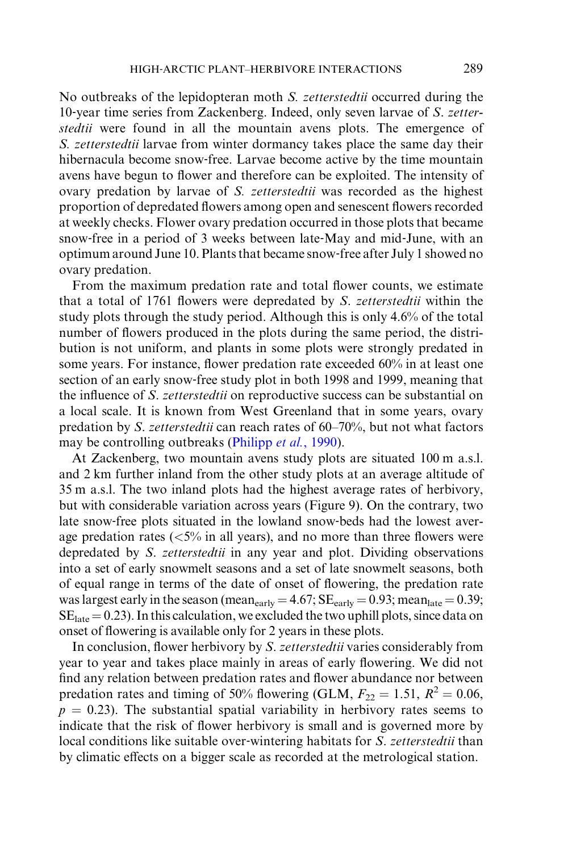No outbreaks of the lepidopteran moth S. zetterstedtii occurred during the 10-year time series from Zackenberg. Indeed, only seven larvae of S. zetterstedtii were found in all the mountain avens plots. The emergence of S. zetterstedtii larvae from winter dormancy takes place the same day their hibernacula become snow-free. Larvae become active by the time mountain avens have begun to flower and therefore can be exploited. The intensity of ovary predation by larvae of S. zetterstedtii was recorded as the highest proportion of depredated flowers among open and senescent flowers recorded at weekly checks. Flower ovary predation occurred in those plots that became snow‐free in a period of 3 weeks between late‐May and mid‐June, with an optimum around June 10. Plants that became snow‐free after July 1 showed no ovary predation.

From the maximum predation rate and total flower counts, we estimate that a total of 1761 flowers were depredated by S. zetterstedtii within the study plots through the study period. Although this is only 4.6% of the total number of flowers produced in the plots during the same period, the distribution is not uniform, and plants in some plots were strongly predated in some years. For instance, flower predation rate exceeded 60% in at least one section of an early snow-free study plot in both 1998 and 1999, meaning that the influence of S. zetterstedtii on reproductive success can be substantial on a local scale. It is known from West Greenland that in some years, ovary predation by S. zetterstedtii can reach rates of 60–70%, but not what factors may be controlling outbreaks [\(Philipp](#page-22-0) et al., 1990).

At Zackenberg, two mountain avens study plots are situated 100 m a.s.l. and 2 km further inland from the other study plots at an average altitude of 35 m a.s.l. The two inland plots had the highest average rates of herbivory, but with considerable variation across years (Figure 9). On the contrary, two late snow‐free plots situated in the lowland snow‐beds had the lowest average predation rates ( $\langle 5\%$  in all years), and no more than three flowers were depredated by S. zetterstedtii in any year and plot. Dividing observations into a set of early snowmelt seasons and a set of late snowmelt seasons, both of equal range in terms of the date of onset of flowering, the predation rate was largest early in the season (mean<sub>early</sub> = 4.67;  $SE_{\text{early}} = 0.93$ ; mean<sub>late</sub> = 0.39;  $SE<sub>late</sub> = 0.23$ . In this calculation, we excluded the two uphill plots, since data on onset of flowering is available only for 2 years in these plots.

In conclusion, flower herbivory by S. zetterstedtii varies considerably from year to year and takes place mainly in areas of early flowering. We did not find any relation between predation rates and flower abundance nor between predation rates and timing of 50% flowering (GLM,  $F_{22} = 1.51$ ,  $R^2 = 0.06$ ,  $p = 0.23$ ). The substantial spatial variability in herbivory rates seems to indicate that the risk of flower herbivory is small and is governed more by local conditions like suitable over-wintering habitats for S. zetterstedtii than by climatic effects on a bigger scale as recorded at the metrological station.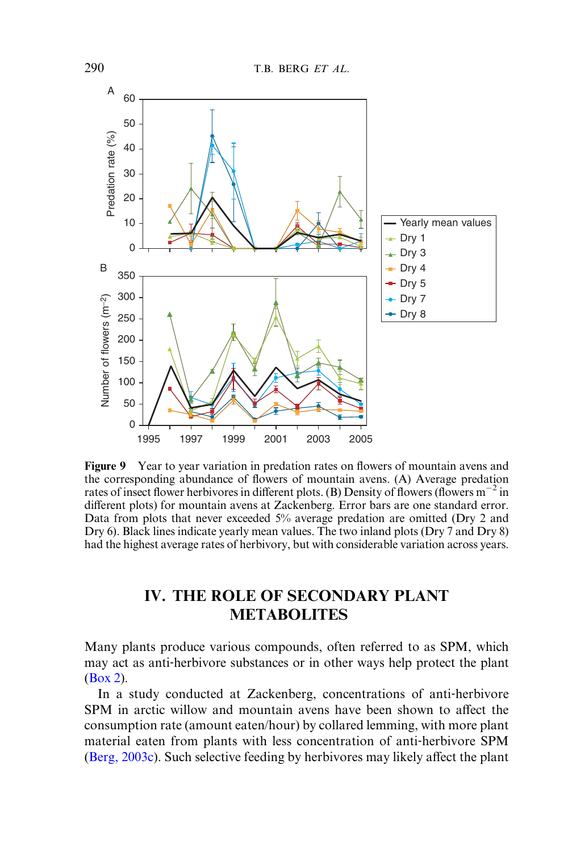

Figure 9 Year to year variation in predation rates on flowers of mountain avens and the corresponding abundance of flowers of mountain avens. (A) Average predation rates of insect flower herbivores in different plots. (B) Density of flowers (flowers  $m^{-2}$  in different plots) for mountain avens at Zackenberg. Error bars are one standard error. Data from plots that never exceeded 5% average predation are omitted (Dry 2 and Dry 6). Black lines indicate yearly mean values. The two inland plots (Dry 7 and Dry 8) had the highest average rates of herbivory, but with considerable variation across years.

# IV. THE ROLE OF SECONDARY PLANT METABOLITES

Many plants produce various compounds, often referred to as SPM, which may act as anti-herbivore substances or in other ways help protect the plant ([Box 2\)](#page-16-1).

In a study conducted at Zackenberg, concentrations of anti-herbivore SPM in arctic willow and mountain avens have been shown to affect the consumption rate (amount eaten/hour) by collared lemming, with more plant material eaten from plants with less concentration of anti‐herbivore SPM (Berg,  $2003c$ ). Such selective feeding by herbivores may likely affect the plant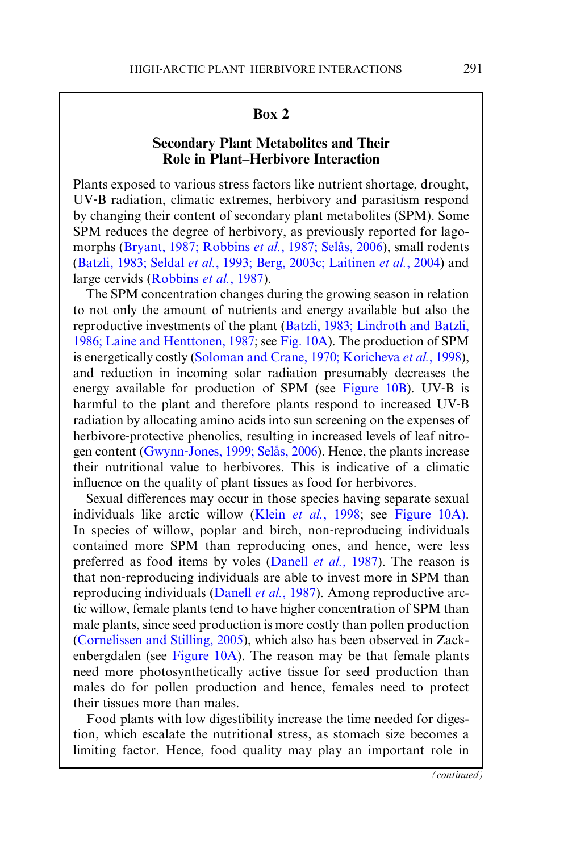### Box 2

# Secondary Plant Metabolites and Their Role in Plant–Herbivore Interaction

<span id="page-16-1"></span><span id="page-16-0"></span>Plants exposed to various stress factors like nutrient shortage, drought, UV‐B radiation, climatic extremes, herbivory and parasitism respond by changing their content of secondary plant metabolites (SPM). Some SPM reduces the degree of herbivory, as previously reported for lagomorphs (Bryant, 1987; Robbins et al., 1987; Selås, 2006), small rodents (Batzli, 1983; Seldal et al., 1993; Berg, 2003c; Laitinen et al., 2004) and large cervids [\(Robbins](#page-22-0) et al., 1987).

The SPM concentration changes during the growing season in relation to not only the amount of nutrients and energy available but also the reproductive investments of the plant (Batzli, 1983; Lindroth and Batzli, 1986; Laine and Henttonen, 1987; see [Fig. 10A](#page-17-0)). The production of SPM is energetically costly [\(Soloman and Crane, 1970; Koricheva](#page-22-0) et al., 1998), and reduction in incoming solar radiation presumably decreases the energy available for production of SPM (see [Figure 10B\)](#page-17-0). UV-B is harmful to the plant and therefore plants respond to increased UV‐B radiation by allocating amino acids into sun screening on the expenses of herbivore-protective phenolics, resulting in increased levels of leaf nitrogen content (Gwynn-Jones, 1999; Selås, 2006). Hence, the plants increase their nutritional value to herbivores. This is indicative of a climatic influence on the quality of plant tissues as food for herbivores.

Sexual differences may occur in those species having separate sexual individuals like arctic willow (Klein *et al.*[, 1998;](#page-22-0) see [Figure 10A](#page-17-0)). In species of willow, poplar and birch, non-reproducing individuals contained more SPM than reproducing ones, and hence, were less preferred as food items by voles (Danell et al., 1987). The reason is that non‐reproducing individuals are able to invest more in SPM than reproducing individuals (Danell et al., 1987). Among reproductive arctic willow, female plants tend to have higher concentration of SPM than male plants, since seed production is more costly than pollen production (Cornelissen and Stilling, 2005), which also has been observed in Zackenbergdalen (see [Figure 10A](#page-17-0)). The reason may be that female plants need more photosynthetically active tissue for seed production than males do for pollen production and hence, females need to protect their tissues more than males.

Food plants with low digestibility increase the time needed for digestion, which escalate the nutritional stress, as stomach size becomes a limiting factor. Hence, food quality may play an important role in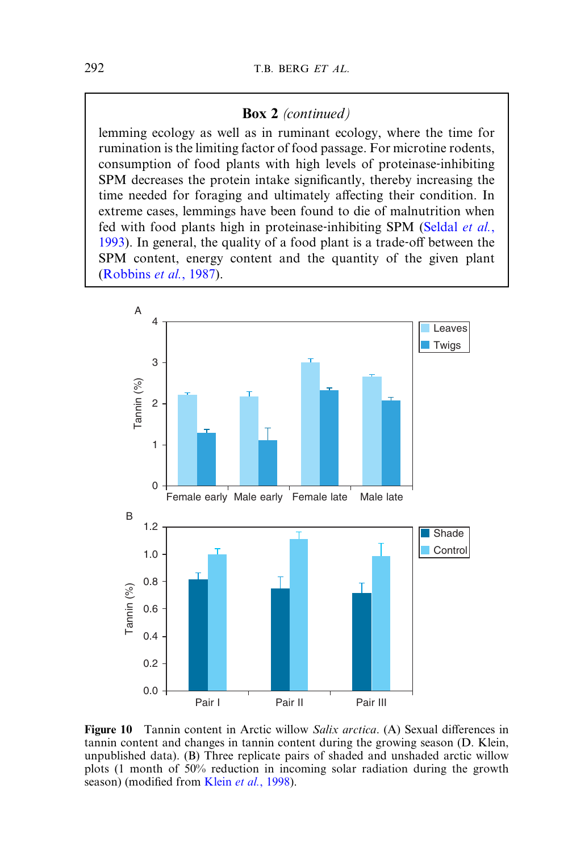#### Box 2 (continued)

<span id="page-17-0"></span>lemming ecology as well as in ruminant ecology, where the time for rumination is the limiting factor of food passage. For microtine rodents, consumption of food plants with high levels of proteinase-inhibiting SPM decreases the protein intake significantly, thereby increasing the time needed for foraging and ultimately affecting their condition. In extreme cases, lemmings have been found to die of malnutrition when fed with food plants high in proteinase-inhibiting SPM [\(Seldal](#page-22-0) et al.,  $1993$ ). In general, the quality of a food plant is a trade-off between the SPM content, energy content and the quantity of the given plant [\(Robbins](#page-22-0) et al., 1987).



Figure 10 Tannin content in Arctic willow Salix arctica. (A) Sexual differences in tannin content and changes in tannin content during the growing season (D. Klein, unpublished data). (B) Three replicate pairs of shaded and unshaded arctic willow plots (1 month of 50% reduction in incoming solar radiation during the growth season) (modified from Klein et al.[, 1998\)](#page-22-0).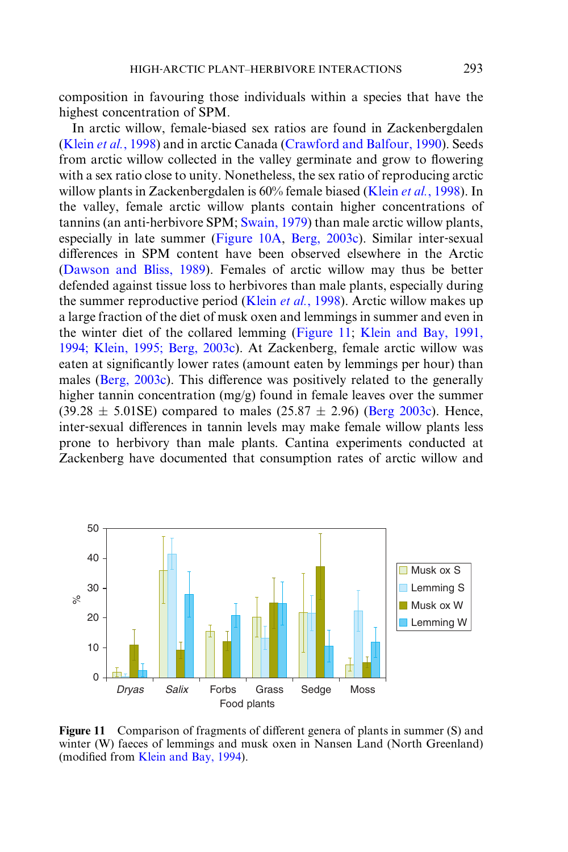composition in favouring those individuals within a species that have the highest concentration of SPM.

In arctic willow, female‐biased sex ratios are found in Zackenbergdalen (Klein et al.[, 1998\)](#page-22-0) and in arctic Canada (Crawford and Balfour, 1990). Seeds from arctic willow collected in the valley germinate and grow to flowering with a sex ratio close to unity. Nonetheless, the sex ratio of reproducing arctic willow plants in Zackenbergdalen is 60% female biased (Klein et al.[, 1998](#page-22-0)). In the valley, female arctic willow plants contain higher concentrations of tannins (an anti-herbivore SPM; [Swain, 1979\)](#page-23-0) than male arctic willow plants, especially in late summer [\(Figure 10A](#page-17-0), Berg, 2003c). Similar inter-sexual differences in SPM content have been observed elsewhere in the Arctic [\(Dawson and Bliss, 1989](#page-21-0)). Females of arctic willow may thus be better defended against tissue loss to herbivores than male plants, especially during the summer reproductive period (Klein *et al.*[, 1998](#page-22-0)). Arctic willow makes up a large fraction of the diet of musk oxen and lemmings in summer and even in the winter diet of the collared lemming (Figure 11; [Klein and Bay, 1991,](#page-22-0) [1994; Klein, 1995; Berg, 2003c\)](#page-22-0). At Zackenberg, female arctic willow was eaten at significantly lower rates (amount eaten by lemmings per hour) than males ( $Berg, 2003c$ ). This difference was positively related to the generally higher tannin concentration (mg/g) found in female leaves over the summer  $(39.28 \pm 5.01$ SE) compared to males  $(25.87 \pm 2.96)$  (Berg 2003c). Hence, inter-sexual differences in tannin levels may make female willow plants less prone to herbivory than male plants. Cantina experiments conducted at Zackenberg have documented that consumption rates of arctic willow and



Figure 11 Comparison of fragments of different genera of plants in summer (S) and winter (W) faeces of lemmings and musk oxen in Nansen Land (North Greenland) (modified from [Klein and Bay, 1994](#page-22-0)).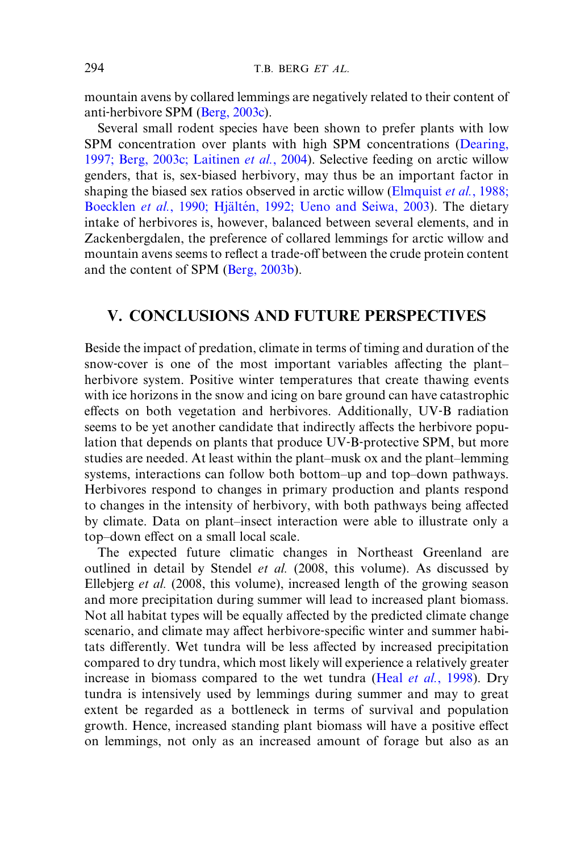mountain avens by collared lemmings are negatively related to their content of anti‐herbivore SPM (Berg, 2003c).

Several small rodent species have been shown to prefer plants with low SPM concentration over plants with high SPM concentrations ([Dearing,](#page-21-0) [1997; Berg, 2003c; Laitinen](#page-21-0) et al., 2004). Selective feeding on arctic willow genders, that is, sex‐biased herbivory, may thus be an important factor in shaping the biased sex ratios observed in arctic willow ([Elmquist](#page-21-0) et al., 1988; Boecklen et al., 1990; Hjältén, 1992; Ueno and Seiwa, 2003). The dietary intake of herbivores is, however, balanced between several elements, and in Zackenbergdalen, the preference of collared lemmings for arctic willow and mountain avens seems to reflect a trade-off between the crude protein content and the content of SPM (Berg, 2003b).

# V. CONCLUSIONS AND FUTURE PERSPECTIVES

Beside the impact of predation, climate in terms of timing and duration of the snow-cover is one of the most important variables affecting the plant– herbivore system. Positive winter temperatures that create thawing events with ice horizons in the snow and icing on bare ground can have catastrophic effects on both vegetation and herbivores. Additionally, UV-B radiation seems to be yet another candidate that indirectly affects the herbivore population that depends on plants that produce UV‐B‐protective SPM, but more studies are needed. At least within the plant–musk ox and the plant–lemming systems, interactions can follow both bottom–up and top–down pathways. Herbivores respond to changes in primary production and plants respond to changes in the intensity of herbivory, with both pathways being affected by climate. Data on plant–insect interaction were able to illustrate only a top–down effect on a small local scale.

The expected future climatic changes in Northeast Greenland are outlined in detail by Stendel et al. (2008, this volume). As discussed by Ellebjerg et al. (2008, this volume), increased length of the growing season and more precipitation during summer will lead to increased plant biomass. Not all habitat types will be equally affected by the predicted climate change scenario, and climate may affect herbivore-specific winter and summer habitats differently. Wet tundra will be less affected by increased precipitation compared to dry tundra, which most likely will experience a relatively greater increase in biomass compared to the wet tundra (Heal et al.[, 1998\)](#page-22-0). Dry tundra is intensively used by lemmings during summer and may to great extent be regarded as a bottleneck in terms of survival and population growth. Hence, increased standing plant biomass will have a positive effect on lemmings, not only as an increased amount of forage but also as an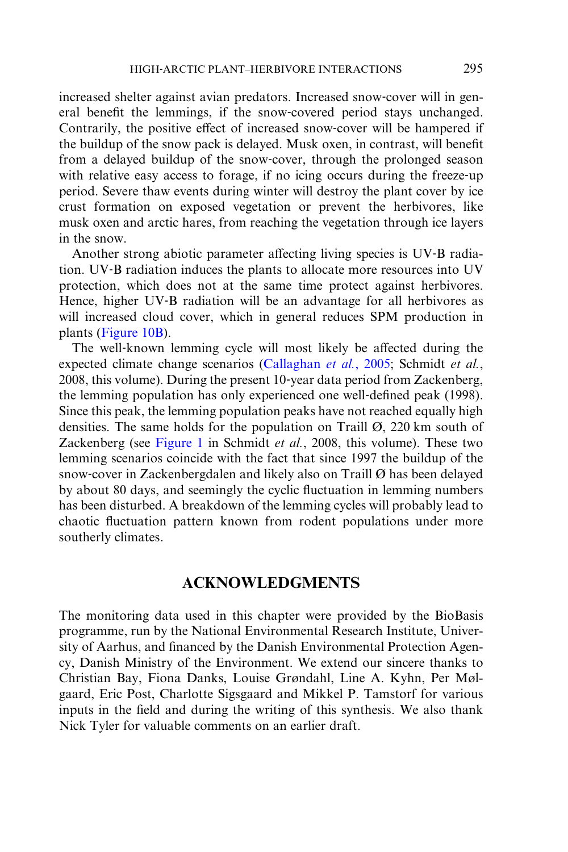increased shelter against avian predators. Increased snow‐cover will in general benefit the lemmings, if the snow‐covered period stays unchanged. Contrarily, the positive effect of increased snow-cover will be hampered if the buildup of the snow pack is delayed. Musk oxen, in contrast, will benefit from a delayed buildup of the snow‐cover, through the prolonged season with relative easy access to forage, if no icing occurs during the freeze-up period. Severe thaw events during winter will destroy the plant cover by ice crust formation on exposed vegetation or prevent the herbivores, like musk oxen and arctic hares, from reaching the vegetation through ice layers in the snow.

Another strong abiotic parameter affecting living species is UV–B radiation. UV‐B radiation induces the plants to allocate more resources into UV protection, which does not at the same time protect against herbivores. Hence, higher UV-B radiation will be an advantage for all herbivores as will increased cloud cover, which in general reduces SPM production in plants ([Figure 10B\)](#page-17-0).

The well-known lemming cycle will most likely be affected during the expected climate change scenarios (Callaghan et al., 2005; Schmidt et al., 2008, this volume). During the present 10‐year data period from Zackenberg, the lemming population has only experienced one well‐defined peak (1998). Since this peak, the lemming population peaks have not reached equally high densities. The same holds for the population on Traill  $\emptyset$ , 220 km south of Zackenberg (see [Figure 1](#page-5-0) in Schmidt et al., 2008, this volume). These two lemming scenarios coincide with the fact that since 1997 the buildup of the snow-cover in Zackenbergdalen and likely also on Traill  $\emptyset$  has been delayed by about 80 days, and seemingly the cyclic fluctuation in lemming numbers has been disturbed. A breakdown of the lemming cycles will probably lead to chaotic fluctuation pattern known from rodent populations under more southerly climates.

### ACKNOWLEDGMENTS

The monitoring data used in this chapter were provided by the BioBasis programme, run by the National Environmental Research Institute, University of Aarhus, and financed by the Danish Environmental Protection Agency, Danish Ministry of the Environment. We extend our sincere thanks to Christian Bay, Fiona Danks, Louise Grøndahl, Line A. Kyhn, Per Mølgaard, Eric Post, Charlotte Sigsgaard and Mikkel P. Tamstorf for various inputs in the field and during the writing of this synthesis. We also thank Nick Tyler for valuable comments on an earlier draft.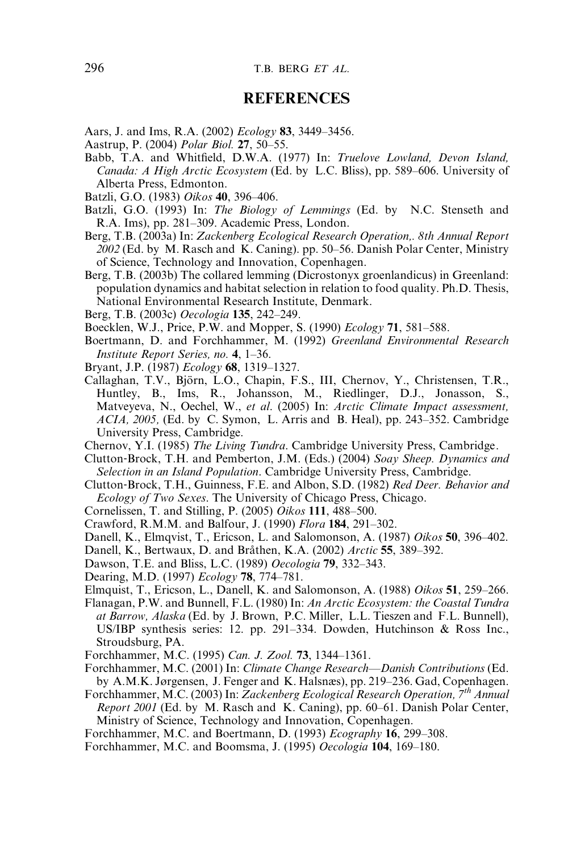## REFERENCES

<span id="page-21-0"></span>Aars, J. and Ims, R.A. (2002) Ecology 83, 3449–3456.

- Aastrup, P. (2004) Polar Biol. 27, 50–55.
- Babb, T.A. and Whitfield, D.W.A. (1977) In: Truelove Lowland, Devon Island, Canada: A High Arctic Ecosystem (Ed. by L.C. Bliss), pp. 589–606. University of Alberta Press, Edmonton.
- Batzli, G.O. (1983) Oikos 40, 396–406.
- Batzli, G.O. (1993) In: The Biology of Lemmings (Ed. by N.C. Stenseth and R.A. Ims), pp. 281–309. Academic Press, London.
- Berg, T.B. (2003a) In: Zackenberg Ecological Research Operation,. 8th Annual Report  $2002$  (Ed. by M. Rasch and K. Caning). pp. 50–56. Danish Polar Center, Ministry of Science, Technology and Innovation, Copenhagen.
- Berg, T.B. (2003b) The collared lemming (Dicrostonyx groenlandicus) in Greenland: population dynamics and habitat selection in relation to food quality. Ph.D. Thesis, National Environmental Research Institute, Denmark.
- Berg, T.B. (2003c) Oecologia 135, 242–249.

Boecklen, W.J., Price, P.W. and Mopper, S. (1990) Ecology 71, 581–588.

- Boertmann, D. and Forchhammer, M. (1992) Greenland Environmental Research Institute Report Series, no. 4, 1–36.
- Bryant, J.P. (1987) Ecology 68, 1319–1327.
- Callaghan, T.V., Björn, L.O., Chapin, F.S., III, Chernov, Y., Christensen, T.R., Huntley, B., Ims, R., Johansson, M., Riedlinger, D.J., Jonasson, S., Matveyeva, N., Oechel, W., et al. (2005) In: Arctic Climate Impact assessment,  $ACIA$ ,  $2005$ , (Ed. by C. Symon, L. Arris and B. Heal), pp. 243–352. Cambridge University Press, Cambridge.

Chernov, Y.I. (1985) The Living Tundra. Cambridge University Press, Cambridge.

- Clutton‐Brock, T.H. and Pemberton, J.M. (Eds.) (2004) Soay Sheep. Dynamics and Selection in an Island Population. Cambridge University Press, Cambridge.
- Clutton‐Brock, T.H., Guinness, F.E. and Albon, S.D. (1982) Red Deer. Behavior and Ecology of Two Sexes. The University of Chicago Press, Chicago.
- Cornelissen, T. and Stilling, P. (2005) Oikos 111, 488–500.
- Crawford, R.M.M. and Balfour, J. (1990) Flora 184, 291–302.
- Danell, K., Elmqvist, T., Ericson, L. and Salomonson, A. (1987) Oikos 50, 396–402.
- Danell, K., Bertwaux, D. and Bråthen, K.A. (2002) Arctic 55, 389–392.
- Dawson, T.E. and Bliss, L.C. (1989) Oecologia 79, 332–343.
- Dearing, M.D. (1997) Ecology 78, 774–781.
- Elmquist, T., Ericson, L., Danell, K. and Salomonson, A. (1988) Oikos 51, 259–266.
- Flanagan, P.W. and Bunnell, F.L. (1980) In: An Arctic Ecosystem: the Coastal Tundra at Barrow, Alaska (Ed. by J. Brown, P.C. Miller, L.L. Tieszen and F.L. Bunnell), US/IBP synthesis series: 12. pp. 291–334. Dowden, Hutchinson & Ross Inc., Stroudsburg, PA.
- Forchhammer, M.C. (1995) Can. J. Zool. 73, 1344–1361.
- Forchhammer, M.C. (2001) In: Climate Change Research—Danish Contributions (Ed. by A.M.K. Jørgensen, J. Fenger and K. Halsnæs), pp. 219–236. Gad, Copenhagen.
- Forchhammer, M.C. (2003) In: Zackenberg Ecological Research Operation, 7th Annual Report 2001 (Ed. by M. Rasch and K. Caning), pp. 60–61. Danish Polar Center,

Ministry of Science, Technology and Innovation, Copenhagen.

Forchhammer, M.C. and Boertmann, D. (1993) Ecography 16, 299–308.

Forchhammer, M.C. and Boomsma, J. (1995) Oecologia 104, 169–180.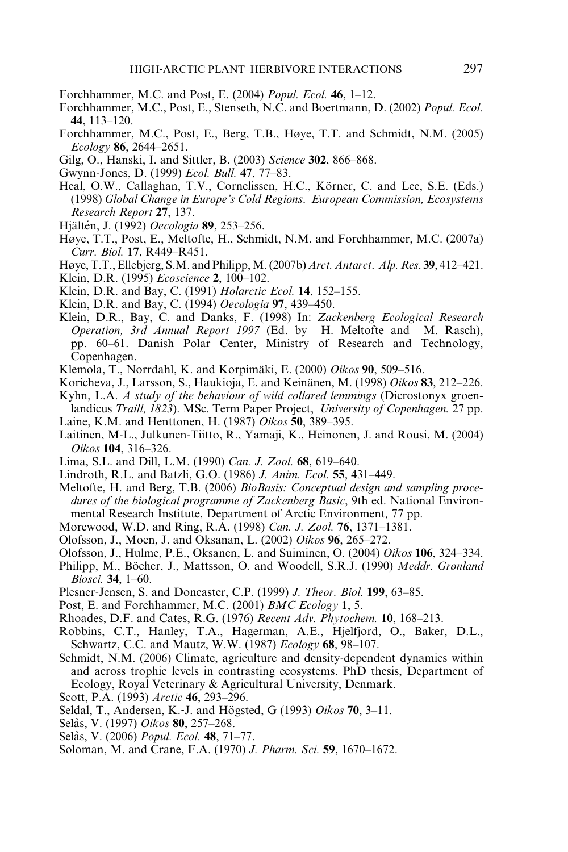- <span id="page-22-0"></span>Forchhammer, M.C. and Post, E. (2004) Popul. Ecol. 46, 1–12.
- Forchhammer, M.C., Post, E., Stenseth, N.C. and Boertmann, D. (2002) Popul. Ecol. 44, 113–120.
- Forchhammer, M.C., Post, E., Berg, T.B., Høye, T.T. and Schmidt, N.M. (2005) Ecology 86, 2644–2651.
- Gilg, O., Hanski, I. and Sittler, B. (2003) Science 302, 866–868.
- Gwynn‐Jones, D. (1999) Ecol. Bull. 47, 77–83.
- Heal, O.W., Callaghan, T.V., Cornelissen, H.C., Körner, C. and Lee, S.E. (Eds.) (1998) Global Change in Europe's Cold Regions. European Commission, Ecosystems Research Report 27, 137.
- Hjältén, J. (1992) Oecologia 89, 253–256.
- Høye, T.T., Post, E., Meltofte, H., Schmidt, N.M. and Forchhammer, M.C. (2007a) Curr. Biol. 17, R449–R451.
- Høye, T.T., Ellebjerg, S.M. and Philipp,M. (2007b) Arct. Antarct. Alp. Res. 39, 412–421.
- Klein, D.R. (1995) Ecoscience 2, 100–102.
- Klein, D.R. and Bay, C. (1991) *Holarctic Ecol*. **14**, 152–155.
- Klein, D.R. and Bay, C. (1994) Oecologia 97, 439–450.
- Klein, D.R., Bay, C. and Danks, F. (1998) In: Zackenberg Ecological Research Operation, 3rd Annual Report 1997 (Ed. by H. Meltofte and M. Rasch), pp. 60–61. Danish Polar Center, Ministry of Research and Technology, Copenhagen.
- Klemola, T., Norrdahl, K. and Korpimäki, E. (2000) Oikos  $90, 509-516$ .
- Koricheva, J., Larsson, S., Haukioja, E. and Keinänen, M. (1998) Oikos 83, 212–226.
- Kyhn, L.A. A study of the behaviour of wild collared lemmings (Dicrostonyx groenlandicus *Traill, 1823*). MSc. Term Paper Project, *University of Copenhagen.* 27 pp.
- Laine, K.M. and Henttonen, H. (1987) Oikos 50, 389–395.
- Laitinen, M‐L., Julkunen‐Tiitto, R., Yamaji, K., Heinonen, J. and Rousi, M. (2004) Oikos 104, 316–326.
- Lima, S.L. and Dill, L.M. (1990) Can. J. Zool. 68, 619–640.
- Lindroth, R.L. and Batzli, G.O. (1986) J. Anim. Ecol. 55, 431–449.
- Meltofte, H. and Berg, T.B. (2006) BioBasis: Conceptual design and sampling procedures of the biological programme of Zackenberg Basic, 9th ed. National Environmental Research Institute, Department of Arctic Environment, 77 pp.
- Morewood, W.D. and Ring, R.A. (1998) Can. J. Zool. 76, 1371–1381.
- Olofsson, J., Moen, J. and Oksanan, L. (2002) Oikos 96, 265–272.
- Olofsson, J., Hulme, P.E., Oksanen, L. and Suiminen, O. (2004) *Oikos* 106, 324–334.
- Philipp, M., Böcher, J., Mattsson, O. and Woodell, S.R.J. (1990) Meddr. Grønland Biosci. 34, 1–60.
- Plesner-Jensen, S. and Doncaster, C.P. (1999) J. Theor. Biol. 199, 63–85.
- Post, E. and Forchhammer, M.C. (2001) BMC Ecology 1, 5.
- Rhoades, D.F. and Cates, R.G. (1976) Recent Adv. Phytochem. 10, 168–213.
- Robbins, C.T., Hanley, T.A., Hagerman, A.E., Hjelfjord, O., Baker, D.L., Schwartz, C.C. and Mautz, W.W. (1987) *Ecology* 68, 98–107.
- Schmidt, N.M. (2006) Climate, agriculture and density-dependent dynamics within and across trophic levels in contrasting ecosystems. PhD thesis, Department of Ecology, Royal Veterinary & Agricultural University, Denmark.
- Scott, P.A. (1993) Arctic 46, 293-296.
- Seldal, T., Andersen, K.-J. and Högsted, G (1993) Oikos  $70$ , 3–11.
- Selås, V. (1997) Oikos 80, 257–268.
- Selås, V. (2006) Popul. Ecol. 48, 71-77.
- Soloman, M. and Crane, F.A. (1970) J. Pharm. Sci. 59, 1670–1672.